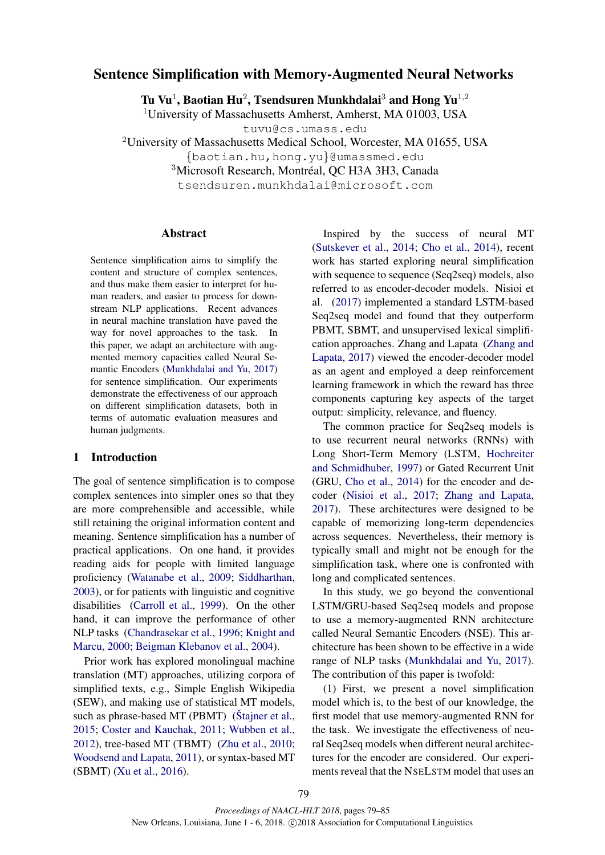# Sentence Simplification with Memory-Augmented Neural Networks

Tu Vu<sup>1</sup>, Baotian Hu<sup>2</sup>, Tsendsuren Munkhdalai $^3$  and Hong Yu<sup>1,2</sup>

<sup>1</sup>University of Massachusetts Amherst, Amherst, MA 01003, USA

tuvu@cs.umass.edu

<sup>2</sup>University of Massachusetts Medical School, Worcester, MA 01655, USA

{baotian.hu,hong.yu}@umassmed.edu

<sup>3</sup>Microsoft Research, Montréal, QC H3A 3H3, Canada

tsendsuren.munkhdalai@microsoft.com

## Abstract

Sentence simplification aims to simplify the content and structure of complex sentences, and thus make them easier to interpret for human readers, and easier to process for downstream NLP applications. Recent advances in neural machine translation have paved the way for novel approaches to the task. In this paper, we adapt an architecture with augmented memory capacities called Neural Semantic Encoders (Munkhdalai and Yu, 2017) for sentence simplification. Our experiments demonstrate the effectiveness of our approach on different simplification datasets, both in terms of automatic evaluation measures and human judgments.

## 1 Introduction

The goal of sentence simplification is to compose complex sentences into simpler ones so that they are more comprehensible and accessible, while still retaining the original information content and meaning. Sentence simplification has a number of practical applications. On one hand, it provides reading aids for people with limited language proficiency (Watanabe et al., 2009; Siddharthan, 2003), or for patients with linguistic and cognitive disabilities (Carroll et al., 1999). On the other hand, it can improve the performance of other NLP tasks (Chandrasekar et al., 1996; Knight and Marcu, 2000; Beigman Klebanov et al., 2004).

Prior work has explored monolingual machine translation (MT) approaches, utilizing corpora of simplified texts, e.g., Simple English Wikipedia (SEW), and making use of statistical MT models, such as phrase-based MT (PBMT) ( $\text{Štajner et al.},$ 2015; Coster and Kauchak, 2011; Wubben et al., 2012), tree-based MT (TBMT) (Zhu et al., 2010; Woodsend and Lapata, 2011), or syntax-based MT (SBMT) (Xu et al., 2016).

Inspired by the success of neural MT (Sutskever et al., 2014; Cho et al., 2014), recent work has started exploring neural simplification with sequence to sequence (Seq2seq) models, also referred to as encoder-decoder models. Nisioi et al. (2017) implemented a standard LSTM-based Seq2seq model and found that they outperform PBMT, SBMT, and unsupervised lexical simplification approaches. Zhang and Lapata (Zhang and Lapata, 2017) viewed the encoder-decoder model as an agent and employed a deep reinforcement learning framework in which the reward has three components capturing key aspects of the target output: simplicity, relevance, and fluency.

The common practice for Seq2seq models is to use recurrent neural networks (RNNs) with Long Short-Term Memory (LSTM, Hochreiter and Schmidhuber, 1997) or Gated Recurrent Unit (GRU, Cho et al., 2014) for the encoder and decoder (Nisioi et al., 2017; Zhang and Lapata, 2017). These architectures were designed to be capable of memorizing long-term dependencies across sequences. Nevertheless, their memory is typically small and might not be enough for the simplification task, where one is confronted with long and complicated sentences.

In this study, we go beyond the conventional LSTM/GRU-based Seq2seq models and propose to use a memory-augmented RNN architecture called Neural Semantic Encoders (NSE). This architecture has been shown to be effective in a wide range of NLP tasks (Munkhdalai and Yu, 2017). The contribution of this paper is twofold:

(1) First, we present a novel simplification model which is, to the best of our knowledge, the first model that use memory-augmented RNN for the task. We investigate the effectiveness of neural Seq2seq models when different neural architectures for the encoder are considered. Our experiments reveal that the NSELSTM model that uses an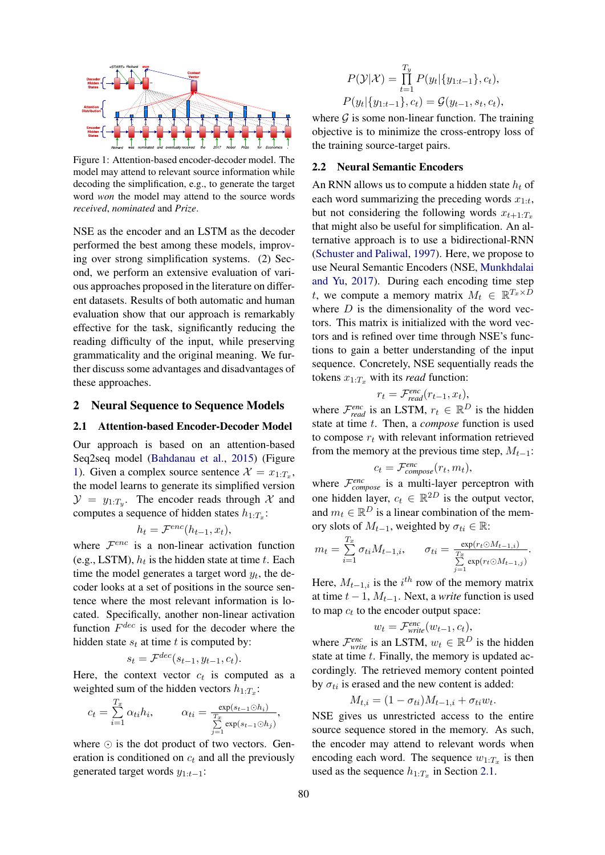

Figure 1: Attention-based encoder-decoder model. The model may attend to relevant source information while decoding the simplification, e.g., to generate the target word *won* the model may attend to the source words *received*, *nominated* and *Prize*.

NSE as the encoder and an LSTM as the decoder performed the best among these models, improving over strong simplification systems. (2) Second, we perform an extensive evaluation of various approaches proposed in the literature on different datasets. Results of both automatic and human evaluation show that our approach is remarkably effective for the task, significantly reducing the reading difficulty of the input, while preserving grammaticality and the original meaning. We further discuss some advantages and disadvantages of these approaches.

# 2 Neural Sequence to Sequence Models

#### 2.1 Attention-based Encoder-Decoder Model

Our approach is based on an attention-based Seq2seq model (Bahdanau et al., 2015) (Figure 1). Given a complex source sentence  $\mathcal{X} = x_{1:T_x}$ , the model learns to generate its simplified version  $\mathcal{Y} = y_{1:T_y}$ . The encoder reads through X and computes a sequence of hidden states  $h_{1:T_x}$ :

$$
h_t = \mathcal{F}^{enc}(h_{t-1}, x_t),
$$

where  $\mathcal{F}^{enc}$  is a non-linear activation function (e.g., LSTM),  $h_t$  is the hidden state at time t. Each time the model generates a target word  $y_t$ , the decoder looks at a set of positions in the source sentence where the most relevant information is located. Specifically, another non-linear activation function  $F^{dec}$  is used for the decoder where the hidden state  $s_t$  at time t is computed by:

$$
s_t = \mathcal{F}^{dec}(s_{t-1}, y_{t-1}, c_t).
$$

Here, the context vector  $c_t$  is computed as a weighted sum of the hidden vectors  $h_{1:T_x}$ :

$$
c_t = \sum_{i=1}^{T_x} \alpha_{ti} h_i, \qquad \alpha_{ti} = \frac{\exp(s_{t-1} \odot h_i)}{\sum_{j=1}^{T_x} \exp(s_{t-1} \odot h_j)},
$$

where  $\odot$  is the dot product of two vectors. Generation is conditioned on  $c_t$  and all the previously generated target words  $y_{1:t-1}$ :

$$
P(\mathcal{Y}|\mathcal{X}) = \prod_{t=1}^{T_y} P(y_t | \{y_{1:t-1}\}, c_t),
$$
  

$$
P(y_t | \{y_{1:t-1}\}, c_t) = \mathcal{G}(y_{t-1}, s_t, c_t),
$$

where  $\mathcal G$  is some non-linear function. The training objective is to minimize the cross-entropy loss of the training source-target pairs.

#### 2.2 Neural Semantic Encoders

An RNN allows us to compute a hidden state  $h_t$  of each word summarizing the preceding words  $x_{1:t}$ , but not considering the following words  $x_{t+1:T_x}$ that might also be useful for simplification. An alternative approach is to use a bidirectional-RNN (Schuster and Paliwal, 1997). Here, we propose to use Neural Semantic Encoders (NSE, Munkhdalai and Yu, 2017). During each encoding time step t, we compute a memory matrix  $M_t \in \mathbb{R}^{T_x \times D}$ where  $D$  is the dimensionality of the word vectors. This matrix is initialized with the word vectors and is refined over time through NSE's functions to gain a better understanding of the input sequence. Concretely, NSE sequentially reads the tokens  $x_{1:T_x}$  with its *read* function:

$$
r_t = \mathcal{F}^{enc}_{read}(r_{t-1}, x_t),
$$

where  $\mathcal{F}^{enc}_{read}$  is an LSTM,  $r_t \in \mathbb{R}^D$  is the hidden state at time t. Then, a *compose* function is used to compose  $r_t$  with relevant information retrieved from the memory at the previous time step,  $M_{t-1}$ :

$$
c_t = \mathcal{F}^{enc}_{composite}(r_t, m_t),
$$

where  $\mathcal{F}_{composite}^{enc}$  is a multi-layer perceptron with one hidden layer,  $c_t \in \mathbb{R}^{2D}$  is the output vector, and  $m_t \in \mathbb{R}^D$  is a linear combination of the memory slots of  $M_{t-1}$ , weighted by  $\sigma_{ti} \in \mathbb{R}$ :

$$
m_t = \sum_{i=1}^{T_x} \sigma_{ti} M_{t-1,i}, \qquad \sigma_{ti} = \frac{\exp(r_t \odot M_{t-1,i})}{\sum\limits_{j=1}^{T_x} \exp(r_t \odot M_{t-1,j})}.
$$

Here,  $M_{t-1,i}$  is the  $i^{th}$  row of the memory matrix at time  $t - 1$ ,  $M_{t-1}$ . Next, a *write* function is used to map  $c_t$  to the encoder output space:

$$
w_t = \mathcal{F}^{\text{enc}}_{\text{write}}(w_{t-1}, c_t),
$$

where  $\mathcal{F}_{write}^{enc}$  is an LSTM,  $w_t \in \mathbb{R}^D$  is the hidden state at time  $t$ . Finally, the memory is updated accordingly. The retrieved memory content pointed by  $\sigma_{ti}$  is erased and the new content is added:

$$
M_{t,i} = (1 - \sigma_{ti})M_{t-1,i} + \sigma_{ti}w_t.
$$

NSE gives us unrestricted access to the entire source sequence stored in the memory. As such, the encoder may attend to relevant words when encoding each word. The sequence  $w_{1:T_x}$  is then used as the sequence  $h_{1:T_x}$  in Section 2.1.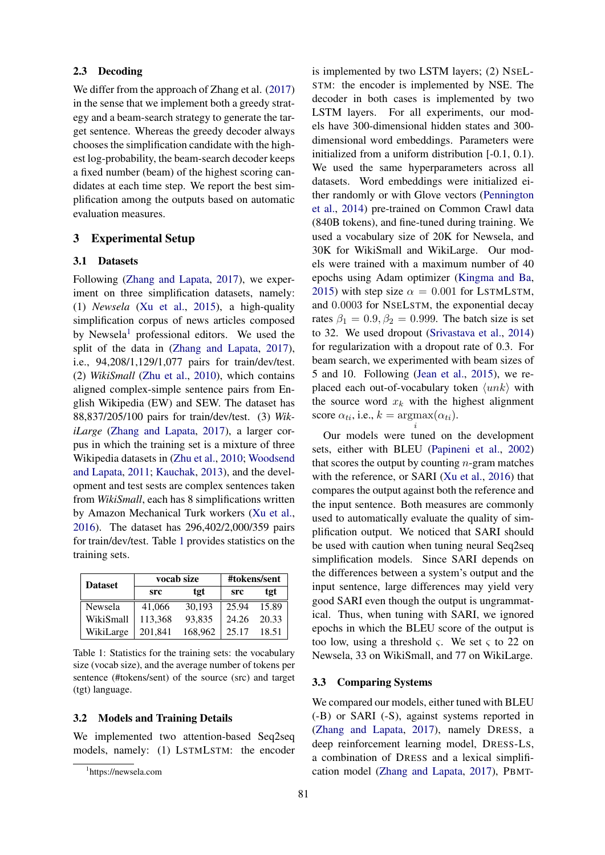### 2.3 Decoding

We differ from the approach of Zhang et al. (2017) in the sense that we implement both a greedy strategy and a beam-search strategy to generate the target sentence. Whereas the greedy decoder always chooses the simplification candidate with the highest log-probability, the beam-search decoder keeps a fixed number (beam) of the highest scoring candidates at each time step. We report the best simplification among the outputs based on automatic evaluation measures.

## 3 Experimental Setup

#### 3.1 Datasets

Following (Zhang and Lapata, 2017), we experiment on three simplification datasets, namely: (1) *Newsela* (Xu et al., 2015), a high-quality simplification corpus of news articles composed by Newsela<sup>1</sup> professional editors. We used the split of the data in (Zhang and Lapata, 2017), i.e., 94,208/1,129/1,077 pairs for train/dev/test. (2) *WikiSmall* (Zhu et al., 2010), which contains aligned complex-simple sentence pairs from English Wikipedia (EW) and SEW. The dataset has 88,837/205/100 pairs for train/dev/test. (3) *WikiLarge* (Zhang and Lapata, 2017), a larger corpus in which the training set is a mixture of three Wikipedia datasets in (Zhu et al., 2010; Woodsend and Lapata, 2011; Kauchak, 2013), and the development and test sests are complex sentences taken from *WikiSmall*, each has 8 simplifications written by Amazon Mechanical Turk workers (Xu et al., 2016). The dataset has 296,402/2,000/359 pairs for train/dev/test. Table 1 provides statistics on the training sets.

| <b>Dataset</b> |         | vocab size | #tokens/sent |       |  |  |
|----------------|---------|------------|--------------|-------|--|--|
|                | src     | tgt        | <b>src</b>   | tgt   |  |  |
| Newsela        | 41,066  | 30.193     | 25.94        | 15.89 |  |  |
| WikiSmall      | 113,368 | 93,835     | 24.26        | 20.33 |  |  |
| WikiLarge      | 201.841 | 168,962    | 25.17        | 18.51 |  |  |

Table 1: Statistics for the training sets: the vocabulary size (vocab size), and the average number of tokens per sentence (#tokens/sent) of the source (src) and target (tgt) language.

### 3.2 Models and Training Details

We implemented two attention-based Seq2seq models, namely: (1) LSTMLSTM: the encoder

is implemented by two LSTM layers; (2) NSEL-STM: the encoder is implemented by NSE. The decoder in both cases is implemented by two LSTM layers. For all experiments, our models have 300-dimensional hidden states and 300 dimensional word embeddings. Parameters were initialized from a uniform distribution [-0.1, 0.1). We used the same hyperparameters across all datasets. Word embeddings were initialized either randomly or with Glove vectors (Pennington et al., 2014) pre-trained on Common Crawl data (840B tokens), and fine-tuned during training. We used a vocabulary size of 20K for Newsela, and 30K for WikiSmall and WikiLarge. Our models were trained with a maximum number of 40 epochs using Adam optimizer (Kingma and Ba, 2015) with step size  $\alpha = 0.001$  for LSTMLSTM, and 0.0003 for NSELSTM, the exponential decay rates  $\beta_1 = 0.9$ ,  $\beta_2 = 0.999$ . The batch size is set to 32. We used dropout (Srivastava et al., 2014) for regularization with a dropout rate of 0.3. For beam search, we experimented with beam sizes of 5 and 10. Following (Jean et al., 2015), we replaced each out-of-vocabulary token  $\langle unk \rangle$  with the source word  $x_k$  with the highest alignment score  $\alpha_{ti}$ , i.e.,  $k = \text{argmax}(\alpha_{ti})$ .

Our models were tuned on the development sets, either with BLEU (Papineni et al., 2002) that scores the output by counting  $n$ -gram matches with the reference, or SARI (Xu et al., 2016) that compares the output against both the reference and the input sentence. Both measures are commonly used to automatically evaluate the quality of simplification output. We noticed that SARI should be used with caution when tuning neural Seq2seq simplification models. Since SARI depends on the differences between a system's output and the input sentence, large differences may yield very good SARI even though the output is ungrammatical. Thus, when tuning with SARI, we ignored epochs in which the BLEU score of the output is too low, using a threshold  $\varsigma$ . We set  $\varsigma$  to 22 on Newsela, 33 on WikiSmall, and 77 on WikiLarge.

i

#### 3.3 Comparing Systems

We compared our models, either tuned with BLEU (-B) or SARI (-S), against systems reported in (Zhang and Lapata, 2017), namely DRESS, a deep reinforcement learning model, DRESS-LS, a combination of DRESS and a lexical simplification model (Zhang and Lapata, 2017), PBMT-

<sup>1</sup> https://newsela.com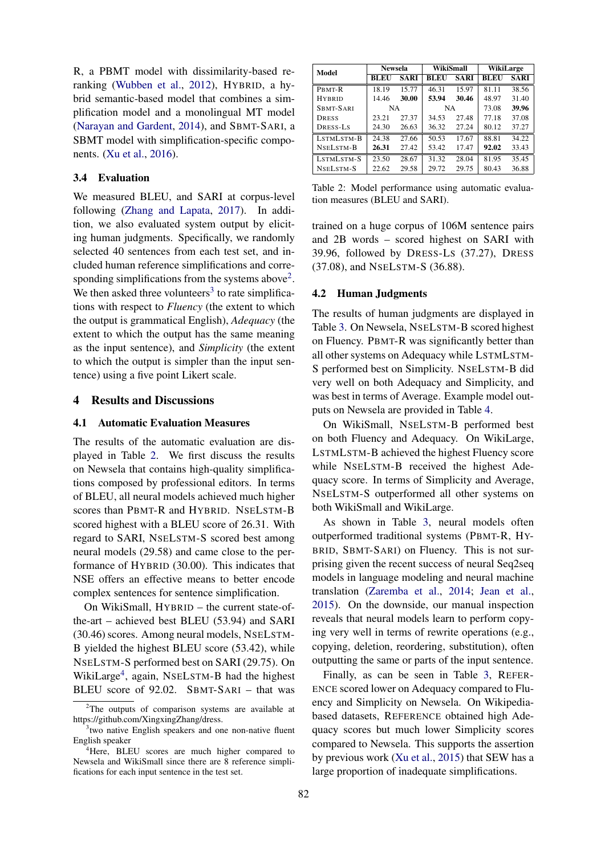R, a PBMT model with dissimilarity-based reranking (Wubben et al., 2012), HYBRID, a hybrid semantic-based model that combines a simplification model and a monolingual MT model (Narayan and Gardent, 2014), and SBMT-SARI, a SBMT model with simplification-specific components. (Xu et al., 2016).

### 3.4 Evaluation

We measured BLEU, and SARI at corpus-level following (Zhang and Lapata, 2017). In addition, we also evaluated system output by eliciting human judgments. Specifically, we randomly selected 40 sentences from each test set, and included human reference simplifications and corresponding simplifications from the systems above<sup>2</sup>. We then asked three volunteers<sup>3</sup> to rate simplifications with respect to *Fluency* (the extent to which the output is grammatical English), *Adequacy* (the extent to which the output has the same meaning as the input sentence), and *Simplicity* (the extent to which the output is simpler than the input sentence) using a five point Likert scale.

#### 4 Results and Discussions

#### 4.1 Automatic Evaluation Measures

The results of the automatic evaluation are displayed in Table 2. We first discuss the results on Newsela that contains high-quality simplifications composed by professional editors. In terms of BLEU, all neural models achieved much higher scores than PBMT-R and HYBRID. NSELSTM-B scored highest with a BLEU score of 26.31. With regard to SARI, NSELSTM-S scored best among neural models (29.58) and came close to the performance of HYBRID (30.00). This indicates that NSE offers an effective means to better encode complex sentences for sentence simplification.

On WikiSmall, HYBRID – the current state-ofthe-art – achieved best BLEU (53.94) and SARI (30.46) scores. Among neural models, NSELSTM-B yielded the highest BLEU score (53.42), while NSELSTM-S performed best on SARI (29.75). On WikiLarge<sup>4</sup>, again, NSELSTM-B had the highest BLEU score of 92.02. SBMT-SARI – that was

| Model         | <b>Newsela</b> |             | WikiSmall |             | WikiLarge |             |  |
|---------------|----------------|-------------|-----------|-------------|-----------|-------------|--|
|               | <b>BLEU</b>    | <b>SARI</b> | BLEU      | <b>SARI</b> | BLEU      | <b>SARI</b> |  |
| PBMT-R        | 18.19          | 15.77       | 46.31     | 15.97       | 81 11     | 38.56       |  |
| <b>HYBRID</b> | 14.46          | 30.00       | 53.94     | 30.46       | 48.97     | 31.40       |  |
| SBMT-SARI     | <b>NA</b>      |             | <b>NA</b> |             | 73.08     | 39.96       |  |
| <b>DRESS</b>  | 23.21          | 27.37       | 34.53     | 27.48       | 77.18     | 37.08       |  |
| DRESS-LS      | 24.30          | 26.63       | 36.32     | 27.24       | 80.12     | 37.27       |  |
| LSTMLSTM-B    | 24.38          | 27.66       | 50.53     | 17.67       | 88.81     | 34.22       |  |
| NSELSTM-B     | 26.31          | 27.42       | 53.42     | 17.47       | 92.02     | 33.43       |  |
| LSTMLSTM-S    | 23.50          | 28.67       | 31.32     | 28.04       | 81.95     | 35.45       |  |
| NSELSTM-S     | 22.62          | 29.58       | 29.72     | 29.75       | 80.43     | 36.88       |  |

Table 2: Model performance using automatic evaluation measures (BLEU and SARI).

trained on a huge corpus of 106M sentence pairs and 2B words – scored highest on SARI with 39.96, followed by DRESS-LS (37.27), DRESS (37.08), and NSELSTM-S (36.88).

#### 4.2 Human Judgments

The results of human judgments are displayed in Table 3. On Newsela, NSELSTM-B scored highest on Fluency. PBMT-R was significantly better than all other systems on Adequacy while LSTMLSTM-S performed best on Simplicity. NSELSTM-B did very well on both Adequacy and Simplicity, and was best in terms of Average. Example model outputs on Newsela are provided in Table 4.

On WikiSmall, NSELSTM-B performed best on both Fluency and Adequacy. On WikiLarge, LSTMLSTM-B achieved the highest Fluency score while NSELSTM-B received the highest Adequacy score. In terms of Simplicity and Average, NSELSTM-S outperformed all other systems on both WikiSmall and WikiLarge.

As shown in Table 3, neural models often outperformed traditional systems (PBMT-R, HY-BRID, SBMT-SARI) on Fluency. This is not surprising given the recent success of neural Seq2seq models in language modeling and neural machine translation (Zaremba et al., 2014; Jean et al., 2015). On the downside, our manual inspection reveals that neural models learn to perform copying very well in terms of rewrite operations (e.g., copying, deletion, reordering, substitution), often outputting the same or parts of the input sentence.

Finally, as can be seen in Table 3, REFER-ENCE scored lower on Adequacy compared to Fluency and Simplicity on Newsela. On Wikipediabased datasets, REFERENCE obtained high Adequacy scores but much lower Simplicity scores compared to Newsela. This supports the assertion by previous work (Xu et al., 2015) that SEW has a large proportion of inadequate simplifications.

<sup>&</sup>lt;sup>2</sup>The outputs of comparison systems are available at https://github.com/XingxingZhang/dress.

<sup>&</sup>lt;sup>3</sup>two native English speakers and one non-native fluent English speaker

<sup>&</sup>lt;sup>4</sup>Here, BLEU scores are much higher compared to Newsela and WikiSmall since there are 8 reference simplifications for each input sentence in the test set.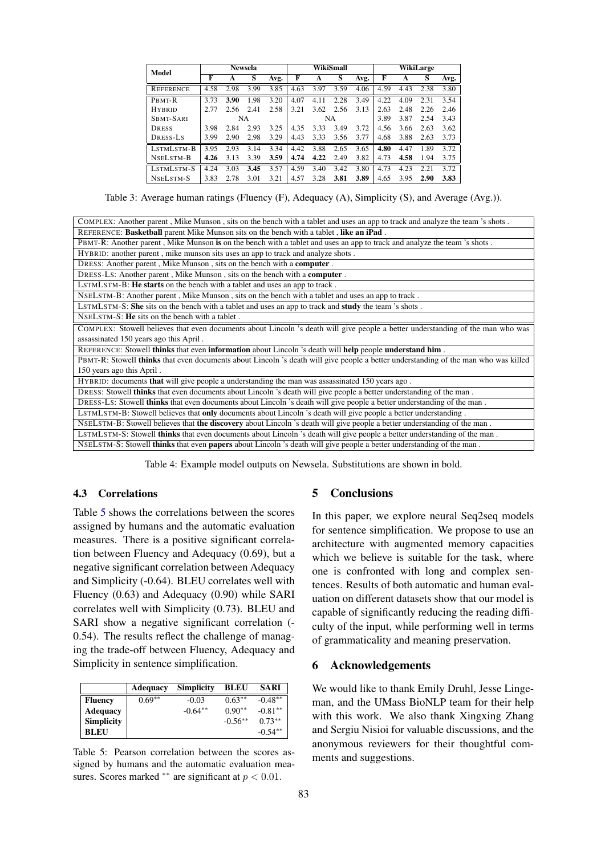| Model            | <b>Newsela</b> |      |           |      | WikiSmall |      |      | WikiLarge |      |      |      |      |
|------------------|----------------|------|-----------|------|-----------|------|------|-----------|------|------|------|------|
|                  | F              | A    | S         | Avg. | F         | A    | S    | Avg.      | F    | A    | S    | Avg. |
| <b>REFERENCE</b> | 4.58           | 2.98 | 3.99      | 3.85 | 4.63      | 3.97 | 3.59 | 4.06      | 4.59 | 4.43 | 2.38 | 3.80 |
| PBMT-R           | 3.73           | 3.90 | 1.98      | 3.20 | 4.07      | 4.11 | 2.28 | 3.49      | 4.22 | 4.09 | 2.31 | 3.54 |
| <b>HYBRID</b>    | 2.77           | 2.56 | 2.41      | 2.58 | 3.21      | 3.62 | 2.56 | 3.13      | 2.63 | 2.48 | 2.26 | 2.46 |
| SBMT-SARI        |                |      | <b>NA</b> |      |           |      | NA   |           | 3.89 | 3.87 | 2.54 | 3.43 |
| <b>DRESS</b>     | 3.98           | 2.84 | 2.93      | 3.25 | 4.35      | 3.33 | 3.49 | 3.72      | 4.56 | 3.66 | 2.63 | 3.62 |
| DRESS-LS         | 3.99           | 2.90 | 2.98      | 3.29 | 4.43      | 3.33 | 3.56 | 3.77      | 4.68 | 3.88 | 2.63 | 3.73 |
| LSTMLSTM-B       | 3.95           | 2.93 | 3.14      | 3.34 | 4.42      | 3.88 | 2.65 | 3.65      | 4.80 | 4.47 | 1.89 | 3.72 |
| NSELSTM-B        | 4.26           | 3.13 | 3.39      | 3.59 | 4.74      | 4.22 | 2.49 | 3.82      | 4.73 | 4.58 | 1.94 | 3.75 |
| LSTMLSTM-S       | 4.24           | 3.03 | 3.45      | 3.57 | 4.59      | 3.40 | 3.42 | 3.80      | 4.73 | 4.23 | 2.21 | 3.72 |
| NSELSTM-S        | 3.83           | 2.78 | 3.01      | 3.21 | 4.57      | 3.28 | 3.81 | 3.89      | 4.65 | 3.95 | 2.90 | 3.83 |

Table 3: Average human ratings (Fluency (F), Adequacy (A), Simplicity (S), and Average (Avg.)).

| COMPLEX: Another parent, Mike Munson, sits on the bench with a tablet and uses an app to track and analyze the team 's shots.       |  |  |  |  |  |  |  |
|-------------------------------------------------------------------------------------------------------------------------------------|--|--|--|--|--|--|--|
| REFERENCE: Basketball parent Mike Munson sits on the bench with a tablet, like an iPad.                                             |  |  |  |  |  |  |  |
| PBMT-R: Another parent, Mike Munson is on the bench with a tablet and uses an app to track and analyze the team 's shots.           |  |  |  |  |  |  |  |
| HYBRID: another parent, mike munson sits uses an app to track and analyze shots.                                                    |  |  |  |  |  |  |  |
| DRESS: Another parent, Mike Munson, sits on the bench with a computer.                                                              |  |  |  |  |  |  |  |
| DRESS-LS: Another parent, Mike Munson, sits on the bench with a <b>computer</b> .                                                   |  |  |  |  |  |  |  |
| LSTMLSTM-B: He starts on the bench with a tablet and uses an app to track.                                                          |  |  |  |  |  |  |  |
| NSELSTM-B: Another parent, Mike Munson, sits on the bench with a tablet and uses an app to track.                                   |  |  |  |  |  |  |  |
| LSTMLSTM-S: She sits on the bench with a tablet and uses an app to track and study the team 's shots.                               |  |  |  |  |  |  |  |
| NSELSTM-S: He sits on the bench with a tablet.                                                                                      |  |  |  |  |  |  |  |
| COMPLEX: Stowell believes that even documents about Lincoln 's death will give people a better understanding of the man who was     |  |  |  |  |  |  |  |
| assassinated 150 years ago this April.                                                                                              |  |  |  |  |  |  |  |
| REFERENCE: Stowell thinks that even information about Lincoln 's death will help people understand him.                             |  |  |  |  |  |  |  |
| PBMT-R: Stowell thinks that even documents about Lincoln 's death will give people a better understanding of the man who was killed |  |  |  |  |  |  |  |
| 150 years ago this April.                                                                                                           |  |  |  |  |  |  |  |
| HYBRID: documents that will give people a understanding the man was assassinated 150 years ago.                                     |  |  |  |  |  |  |  |
| DRESS: Stowell thinks that even documents about Lincoln 's death will give people a better understanding of the man.                |  |  |  |  |  |  |  |
| DRESS-LS: Stowell thinks that even documents about Lincoln 's death will give people a better understanding of the man.             |  |  |  |  |  |  |  |
| LSTMLSTM-B: Stowell believes that only documents about Lincoln 's death will give people a better understanding.                    |  |  |  |  |  |  |  |
| NSELSTM-B: Stowell believes that the discovery about Lincoln 's death will give people a better understanding of the man.           |  |  |  |  |  |  |  |
| LSTMLSTM-S: Stowell thinks that even documents about Lincoln 's death will give people a better understanding of the man.           |  |  |  |  |  |  |  |
| NSELSTM-S: Stowell thinks that even papers about Lincoln 's death will give people a better understanding of the man.               |  |  |  |  |  |  |  |

Table 4: Example model outputs on Newsela. Substitutions are shown in bold.

## 4.3 Correlations

Table 5 shows the correlations between the scores assigned by humans and the automatic evaluation measures. There is a positive significant correlation between Fluency and Adequacy (0.69), but a negative significant correlation between Adequacy and Simplicity (-0.64). BLEU correlates well with Fluency (0.63) and Adequacy (0.90) while SARI correlates well with Simplicity (0.73). BLEU and SARI show a negative significant correlation (- 0.54). The results reflect the challenge of managing the trade-off between Fluency, Adequacy and Simplicity in sentence simplification.

|                   | <b>Adequacy</b> | <b>Simplicity</b> | <b>BLEU</b> | <b>SARI</b> |
|-------------------|-----------------|-------------------|-------------|-------------|
| <b>Fluency</b>    | $0.69**$        | $-0.03$           | $0.63**$    | $-0.48**$   |
| <b>Adequacy</b>   |                 | $-0.64**$         | $0.90**$    | $-0.81**$   |
| <b>Simplicity</b> |                 |                   | $-0.56**$   | $0.73***$   |
| <b>BLEU</b>       |                 |                   |             | $-0.54**$   |

Table 5: Pearson correlation between the scores assigned by humans and the automatic evaluation measures. Scores marked \*\* are significant at  $p < 0.01$ .

## 5 Conclusions

In this paper, we explore neural Seq2seq models for sentence simplification. We propose to use an architecture with augmented memory capacities which we believe is suitable for the task, where one is confronted with long and complex sentences. Results of both automatic and human evaluation on different datasets show that our model is capable of significantly reducing the reading difficulty of the input, while performing well in terms of grammaticality and meaning preservation.

### 6 Acknowledgements

We would like to thank Emily Druhl, Jesse Lingeman, and the UMass BioNLP team for their help with this work. We also thank Xingxing Zhang and Sergiu Nisioi for valuable discussions, and the anonymous reviewers for their thoughtful comments and suggestions.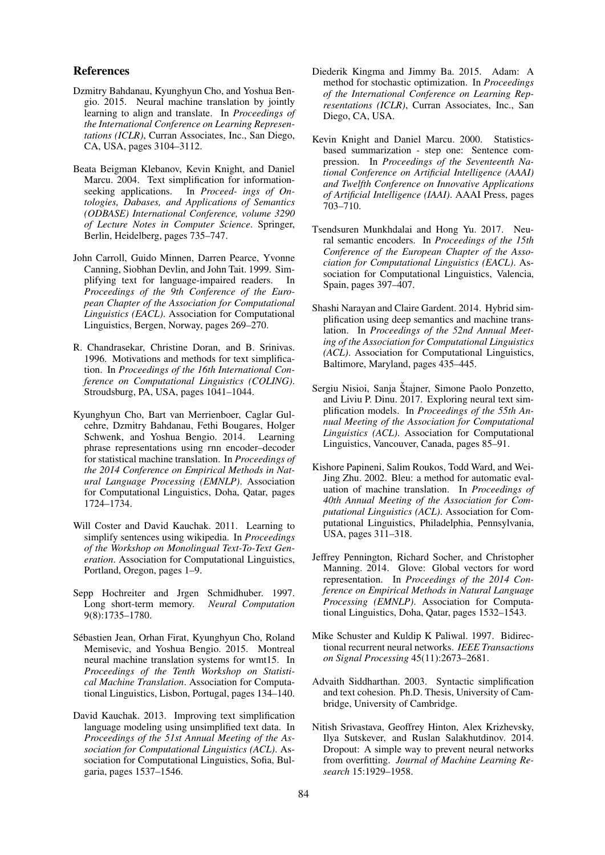#### References

- Dzmitry Bahdanau, Kyunghyun Cho, and Yoshua Bengio. 2015. Neural machine translation by jointly learning to align and translate. In *Proceedings of the International Conference on Learning Representations (ICLR)*, Curran Associates, Inc., San Diego, CA, USA, pages 3104–3112.
- Beata Beigman Klebanov, Kevin Knight, and Daniel Marcu. 2004. Text simplification for informationseeking applications. In *Proceed- ings of Ontologies, Dabases, and Applications of Semantics (ODBASE) International Conference, volume 3290 of Lecture Notes in Computer Science*. Springer, Berlin, Heidelberg, pages 735–747.
- John Carroll, Guido Minnen, Darren Pearce, Yvonne Canning, Siobhan Devlin, and John Tait. 1999. Simplifying text for language-impaired readers. In *Proceedings of the 9th Conference of the European Chapter of the Association for Computational Linguistics (EACL)*. Association for Computational Linguistics, Bergen, Norway, pages 269–270.
- R. Chandrasekar, Christine Doran, and B. Srinivas. 1996. Motivations and methods for text simplification. In *Proceedings of the 16th International Conference on Computational Linguistics (COLING)*. Stroudsburg, PA, USA, pages 1041–1044.
- Kyunghyun Cho, Bart van Merrienboer, Caglar Gulcehre, Dzmitry Bahdanau, Fethi Bougares, Holger Schwenk, and Yoshua Bengio. 2014. Learning phrase representations using rnn encoder–decoder for statistical machine translation. In *Proceedings of the 2014 Conference on Empirical Methods in Natural Language Processing (EMNLP)*. Association for Computational Linguistics, Doha, Qatar, pages 1724–1734.
- Will Coster and David Kauchak. 2011. Learning to simplify sentences using wikipedia. In *Proceedings of the Workshop on Monolingual Text-To-Text Generation*. Association for Computational Linguistics, Portland, Oregon, pages 1–9.
- Sepp Hochreiter and Jrgen Schmidhuber. 1997. Long short-term memory. *Neural Computation* 9(8):1735–1780.
- Sebastien Jean, Orhan Firat, Kyunghyun Cho, Roland ´ Memisevic, and Yoshua Bengio. 2015. Montreal neural machine translation systems for wmt15. In *Proceedings of the Tenth Workshop on Statistical Machine Translation*. Association for Computational Linguistics, Lisbon, Portugal, pages 134–140.
- David Kauchak. 2013. Improving text simplification language modeling using unsimplified text data. In *Proceedings of the 51st Annual Meeting of the Association for Computational Linguistics (ACL)*. Association for Computational Linguistics, Sofia, Bulgaria, pages 1537–1546.
- Diederik Kingma and Jimmy Ba. 2015. Adam: A method for stochastic optimization. In *Proceedings of the International Conference on Learning Representations (ICLR)*, Curran Associates, Inc., San Diego, CA, USA.
- Kevin Knight and Daniel Marcu. 2000. Statisticsbased summarization - step one: Sentence compression. In *Proceedings of the Seventeenth National Conference on Artificial Intelligence (AAAI) and Twelfth Conference on Innovative Applications of Artificial Intelligence (IAAI)*. AAAI Press, pages 703–710.
- Tsendsuren Munkhdalai and Hong Yu. 2017. Neural semantic encoders. In *Proceedings of the 15th Conference of the European Chapter of the Association for Computational Linguistics (EACL)*. Association for Computational Linguistics, Valencia, Spain, pages 397–407.
- Shashi Narayan and Claire Gardent. 2014. Hybrid simplification using deep semantics and machine translation. In *Proceedings of the 52nd Annual Meeting of the Association for Computational Linguistics (ACL)*. Association for Computational Linguistics, Baltimore, Maryland, pages 435–445.
- Sergiu Nisioi, Sanja Štajner, Simone Paolo Ponzetto, and Liviu P. Dinu. 2017. Exploring neural text simplification models. In *Proceedings of the 55th Annual Meeting of the Association for Computational Linguistics (ACL)*. Association for Computational Linguistics, Vancouver, Canada, pages 85–91.
- Kishore Papineni, Salim Roukos, Todd Ward, and Wei-Jing Zhu. 2002. Bleu: a method for automatic evaluation of machine translation. In *Proceedings of 40th Annual Meeting of the Association for Computational Linguistics (ACL)*. Association for Computational Linguistics, Philadelphia, Pennsylvania, USA, pages 311–318.
- Jeffrey Pennington, Richard Socher, and Christopher Manning. 2014. Glove: Global vectors for word representation. In *Proceedings of the 2014 Conference on Empirical Methods in Natural Language Processing (EMNLP)*. Association for Computational Linguistics, Doha, Qatar, pages 1532–1543.
- Mike Schuster and Kuldip K Paliwal. 1997. Bidirectional recurrent neural networks. *IEEE Transactions on Signal Processing* 45(11):2673–2681.
- Advaith Siddharthan. 2003. Syntactic simplification and text cohesion. Ph.D. Thesis, University of Cambridge, University of Cambridge.
- Nitish Srivastava, Geoffrey Hinton, Alex Krizhevsky, Ilya Sutskever, and Ruslan Salakhutdinov. 2014. Dropout: A simple way to prevent neural networks from overfitting. *Journal of Machine Learning Research* 15:1929–1958.